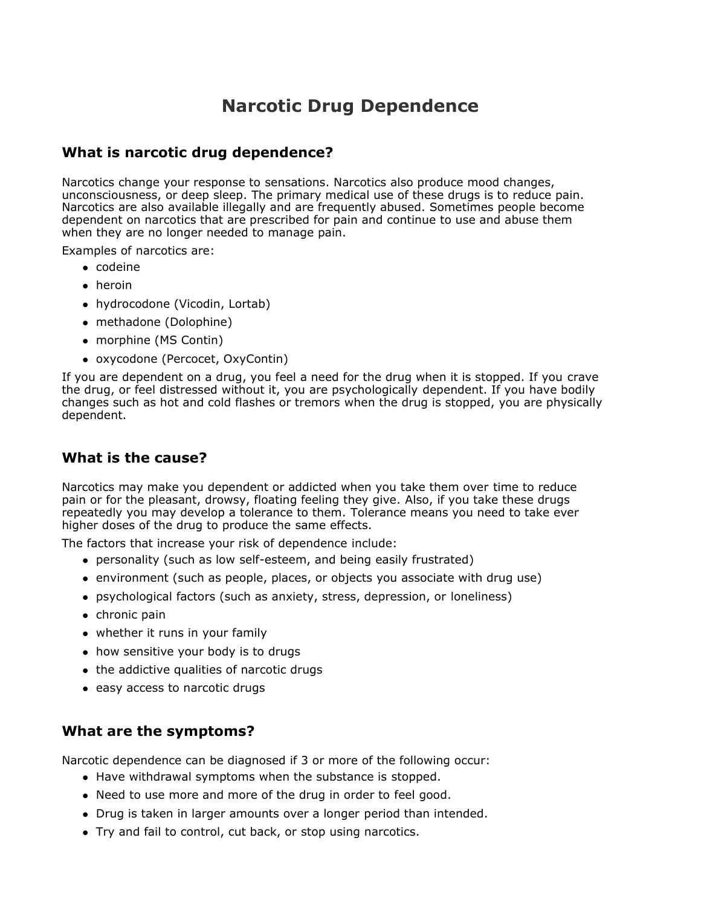# **Narcotic Drug Dependence**

## **What is narcotic drug dependence?**

Narcotics change your response to sensations. Narcotics also produce mood changes, unconsciousness, or deep sleep. The primary medical use of these drugs is to reduce pain. Narcotics are also available illegally and are frequently abused. Sometimes people become dependent on narcotics that are prescribed for pain and continue to use and abuse them when they are no longer needed to manage pain.

Examples of narcotics are:

- codeine
- heroin
- hydrocodone (Vicodin, Lortab)
- methadone (Dolophine)
- morphine (MS Contin)
- oxycodone (Percocet, OxyContin)

If you are dependent on a drug, you feel a need for the drug when it is stopped. If you crave the drug, or feel distressed without it, you are psychologically dependent. If you have bodily changes such as hot and cold flashes or tremors when the drug is stopped, you are physically dependent.

# **What is the cause?**

Narcotics may make you dependent or addicted when you take them over time to reduce pain or for the pleasant, drowsy, floating feeling they give. Also, if you take these drugs repeatedly you may develop a tolerance to them. Tolerance means you need to take ever higher doses of the drug to produce the same effects.

The factors that increase your risk of dependence include:

- personality (such as low self-esteem, and being easily frustrated)
- environment (such as people, places, or objects you associate with drug use)
- psychological factors (such as anxiety, stress, depression, or loneliness)
- $\bullet$  chronic pain
- whether it runs in your family
- how sensitive your body is to drugs
- the addictive qualities of narcotic drugs
- easy access to narcotic drugs

### **What are the symptoms?**

Narcotic dependence can be diagnosed if 3 or more of the following occur:

- Have withdrawal symptoms when the substance is stopped.
- Need to use more and more of the drug in order to feel good.
- Drug is taken in larger amounts over a longer period than intended.
- Try and fail to control, cut back, or stop using narcotics.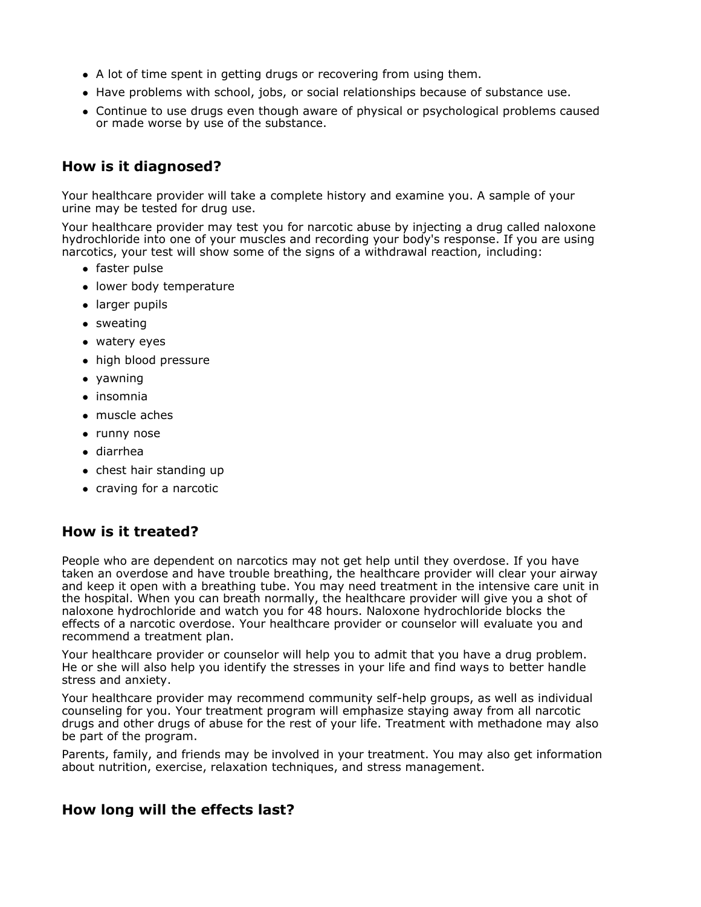- A lot of time spent in getting drugs or recovering from using them.
- Have problems with school, jobs, or social relationships because of substance use.
- Continue to use drugs even though aware of physical or psychological problems caused or made worse by use of the substance.

#### **How is it diagnosed?**

Your healthcare provider will take a complete history and examine you. A sample of your urine may be tested for drug use.

Your healthcare provider may test you for narcotic abuse by injecting a drug called naloxone hydrochloride into one of your muscles and recording your body's response. If you are using narcotics, your test will show some of the signs of a withdrawal reaction, including:

- faster pulse
- lower body temperature
- larger pupils
- sweating
- watery eyes
- high blood pressure
- yawning
- insomnia
- muscle aches
- runny nose
- diarrhea
- chest hair standing up
- craving for a narcotic

### **How is it treated?**

People who are dependent on narcotics may not get help until they overdose. If you have taken an overdose and have trouble breathing, the healthcare provider will clear your airway and keep it open with a breathing tube. You may need treatment in the intensive care unit in the hospital. When you can breath normally, the healthcare provider will give you a shot of naloxone hydrochloride and watch you for 48 hours. Naloxone hydrochloride blocks the effects of a narcotic overdose. Your healthcare provider or counselor will evaluate you and recommend a treatment plan.

Your healthcare provider or counselor will help you to admit that you have a drug problem. He or she will also help you identify the stresses in your life and find ways to better handle stress and anxiety.

Your healthcare provider may recommend community self-help groups, as well as individual counseling for you. Your treatment program will emphasize staying away from all narcotic drugs and other drugs of abuse for the rest of your life. Treatment with methadone may also be part of the program.

Parents, family, and friends may be involved in your treatment. You may also get information about nutrition, exercise, relaxation techniques, and stress management.

#### **How long will the effects last?**